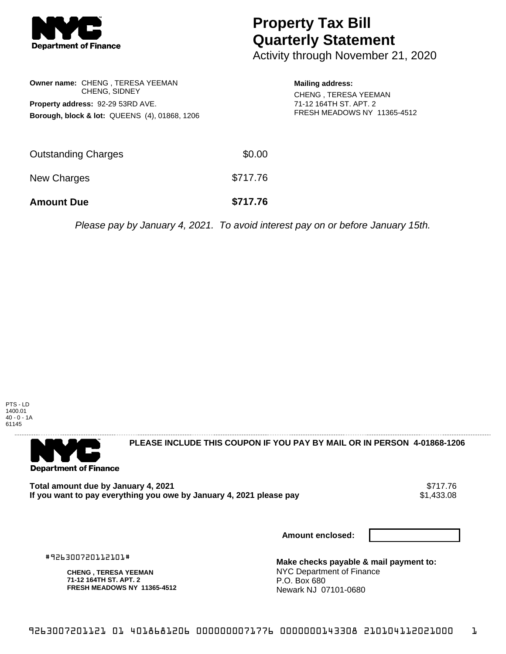

## **Property Tax Bill Quarterly Statement**

Activity through November 21, 2020

| <b>Owner name: CHENG, TERESA YEEMAN</b><br><b>CHENG, SIDNEY</b><br><b>Property address: 92-29 53RD AVE.</b><br><b>Borough, block &amp; lot: QUEENS (4), 01868, 1206</b> |          | <b>Mailing address:</b><br><b>CHENG, TERESA YEEMAN</b><br>71-12 164TH ST, APT, 2<br>FRESH MEADOWS NY 11365-4512 |
|-------------------------------------------------------------------------------------------------------------------------------------------------------------------------|----------|-----------------------------------------------------------------------------------------------------------------|
| <b>Outstanding Charges</b>                                                                                                                                              | \$0.00   |                                                                                                                 |
| New Charges                                                                                                                                                             | \$717.76 |                                                                                                                 |
| <b>Amount Due</b>                                                                                                                                                       | \$717.76 |                                                                                                                 |

Please pay by January 4, 2021. To avoid interest pay on or before January 15th.

PTS - LD 1400.01 40 - 0 - 1A 61145



**PLEASE INCLUDE THIS COUPON IF YOU PAY BY MAIL OR IN PERSON 4-01868-1206** 

Total amount due by January 4, 2021<br>If you want to pay everything you owe by January 4, 2021 please pay **ship in the set of the set of the s**1,433.08 If you want to pay everything you owe by January 4, 2021 please pay

**Amount enclosed:**

#926300720112101#

**CHENG , TERESA YEEMAN 71-12 164TH ST. APT. 2 FRESH MEADOWS NY 11365-4512** **Make checks payable & mail payment to:** NYC Department of Finance P.O. Box 680 Newark NJ 07101-0680